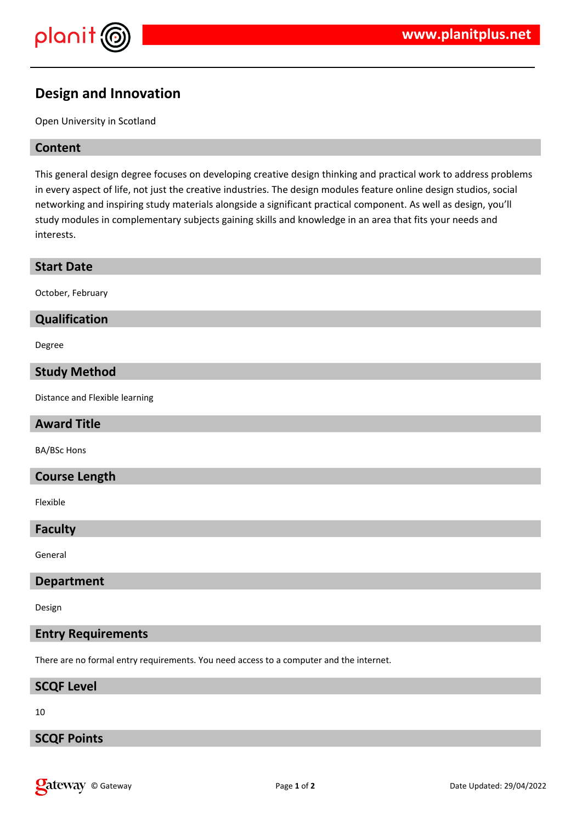

# **Design and Innovation**

Open University in Scotland

# **Content**

This general design degree focuses on developing creative design thinking and practical work to address problems in every aspect of life, not just the creative industries. The design modules feature online design studios, social networking and inspiring study materials alongside a significant practical component. As well as design, you'll study modules in complementary subjects gaining skills and knowledge in an area that fits your needs and interests.

### **Start Date**

October, February

# **Qualification**

Degree

## **Study Method**

Distance and Flexible learning

# **Award Title**

BA/BSc Hons

### **Course Length**

Flexible

#### **Faculty**

General

## **Department**

Design

# **Entry Requirements**

There are no formal entry requirements. You need access to a computer and the internet.

#### **SCQF Level**

10

# **SCQF Points**

**Qateway** © Gateway **Page 1** of 2 **Page 1** of 2 Date Updated: 29/04/2022